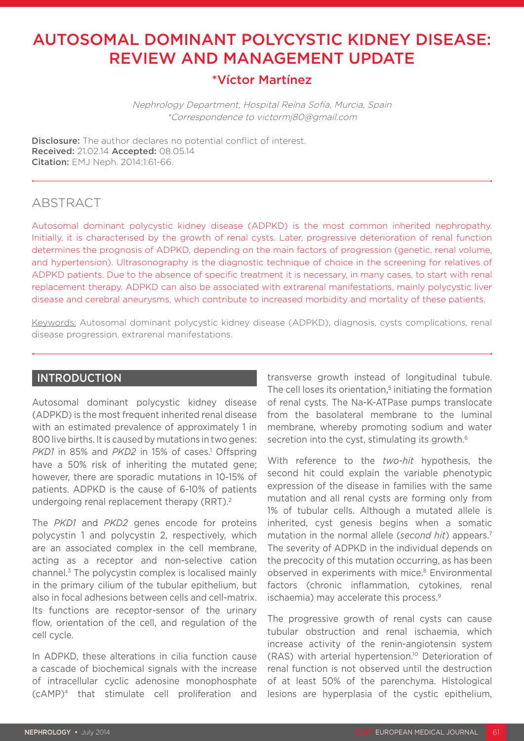# AUTOSOMAL DOMINANT POLYCYSTIC KIDNEY DISEASE: REVIEW AND MANAGEMENT UPDATE

### \*Víctor Martínez

Nephrology Department, Hospital Reína Sofía, Murcia, Spain \*Correspondence to victormj80@gmail.com

**Disclosure:** The author declares no potential conflict of interest. Received: 21.02.14 Accepted: 08.05.14 Citation: EMJ Neph. 2014;1:61-66.

### ABSTRACT

Autosomal dominant polycystic kidney disease (ADPKD) is the most common inherited nephropathy. Initially, it is characterised by the growth of renal cysts. Later, progressive deterioration of renal function determines the prognosis of ADPKD, depending on the main factors of progression (genetic, renal volume, and hypertension). Ultrasonography is the diagnostic technique of choice in the screening for relatives of ADPKD patients. Due to the absence of specific treatment it is necessary, in many cases, to start with renal replacement therapy. ADPKD can also be associated with extrarenal manifestations, mainly polycystic liver disease and cerebral aneurysms, which contribute to increased morbidity and mortality of these patients.

Keywords: Autosomal dominant polycystic kidney disease (ADPKD), diagnosis, cysts complications, renal disease progression, extrarenal manifestations.

### INTRODUCTION

Autosomal dominant polycystic kidney disease (ADPKD) is the most frequent inherited renal disease with an estimated prevalence of approximately 1 in 800 live births. It is caused by mutations in two genes: PKD1 in 85% and PKD2 in 15% of cases.<sup>1</sup> Offspring have a 50% risk of inheriting the mutated gene; however, there are sporadic mutations in 10-15% of patients. ADPKD is the cause of 6-10% of patients undergoing renal replacement therapy (RRT).<sup>2</sup>

The *PKD1* and *PKD2* genes encode for proteins polycystin 1 and polycystin 2, respectively, which are an associated complex in the cell membrane, acting as a receptor and non-selective cation channel.3 The polycystin complex is localised mainly in the primary cilium of the tubular epithelium, but also in focal adhesions between cells and cell-matrix. Its functions are receptor-sensor of the urinary flow, orientation of the cell, and regulation of the cell cycle.

In ADPKD, these alterations in cilia function cause a cascade of biochemical signals with the increase of intracellular cyclic adenosine monophosphate (cAMP)4 that stimulate cell proliferation and transverse growth instead of longitudinal tubule. The cell loses its orientation,<sup>5</sup> initiating the formation of renal cysts. The Na-K-ATPase pumps translocate from the basolateral membrane to the luminal membrane, whereby promoting sodium and water secretion into the cyst, stimulating its growth.<sup>6</sup>

With reference to the *two-hit* hypothesis, the second hit could explain the variable phenotypic expression of the disease in families with the same mutation and all renal cysts are forming only from 1% of tubular cells. Although a mutated allele is inherited, cyst genesis begins when a somatic mutation in the normal allele (*second hit*) appears.7 The severity of ADPKD in the individual depends on the precocity of this mutation occurring, as has been observed in experiments with mice.<sup>8</sup> Environmental factors (chronic inflammation, cytokines, renal ischaemia) may accelerate this process.<sup>9</sup>

The progressive growth of renal cysts can cause tubular obstruction and renal ischaemia, which increase activity of the renin-angiotensin system (RAS) with arterial hypertension.10 Deterioration of renal function is not observed until the destruction of at least 50% of the parenchyma. Histological lesions are hyperplasia of the cystic epithelium,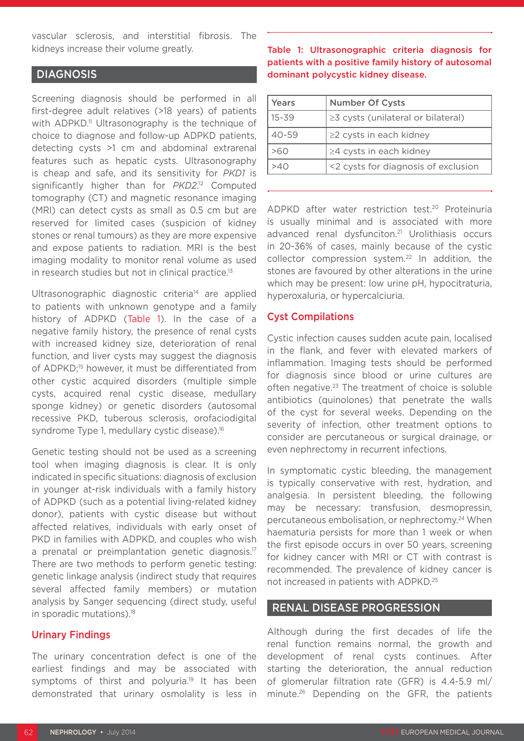vascular sclerosis, and interstitial fibrosis. The kidneys increase their volume greatly.

#### DIAGNOSIS

Screening diagnosis should be performed in all first-degree adult relatives (>18 years) of patients with ADPKD.<sup>11</sup> Ultrasonography is the technique of choice to diagnose and follow-up ADPKD patients, detecting cysts >1 cm and abdominal extrarenal features such as hepatic cysts. Ultrasonography is cheap and safe, and its sensitivity for *PKD1* is significantly higher than for *PKD2*. 12 Computed tomography (CT) and magnetic resonance imaging (MRI) can detect cysts as small as 0.5 cm but are reserved for limited cases (suspicion of kidney stones or renal tumours) as they are more expensive and expose patients to radiation. MRI is the best imaging modality to monitor renal volume as used in research studies but not in clinical practice.<sup>13</sup>

Ultrasonographic diagnostic criteria<sup>14</sup> are applied to patients with unknown genotype and a family history of ADPKD (Table 1). In the case of a negative family history, the presence of renal cysts with increased kidney size, deterioration of renal function, and liver cysts may suggest the diagnosis of ADPKD;<sup>15</sup> however, it must be differentiated from other cystic acquired disorders (multiple simple cysts, acquired renal cystic disease, medullary sponge kidney) or genetic disorders (autosomal recessive PKD, tuberous sclerosis, orofaciodigital syndrome Type 1, medullary cystic disease).<sup>16</sup>

Genetic testing should not be used as a screening tool when imaging diagnosis is clear. It is only indicated in specific situations: diagnosis of exclusion in younger at-risk individuals with a family history of ADPKD (such as a potential living-related kidney donor), patients with cystic disease but without affected relatives, individuals with early onset of PKD in families with ADPKD, and couples who wish a prenatal or preimplantation genetic diagnosis.<sup>17</sup> There are two methods to perform genetic testing: genetic linkage analysis (indirect study that requires several affected family members) or mutation analysis by Sanger sequencing (direct study, useful in sporadic mutations).18

#### Urinary Findings

The urinary concentration defect is one of the earliest findings and may be associated with symptoms of thirst and polyuria.<sup>19</sup> It has been demonstrated that urinary osmolality is less in

#### Table 1: Ultrasonographic criteria diagnosis for patients with a positive family history of autosomal dominant polycystic kidney disease.

| Years     | <b>Number Of Cysts</b>              |
|-----------|-------------------------------------|
| $15 - 39$ | ≥3 cysts (unilateral or bilateral)  |
| $40 - 59$ | $\geq$ 2 cysts in each kidney       |
| >60       | ≥4 cysts in each kidney             |
| 04∘       | <2 cysts for diagnosis of exclusion |

ADPKD after water restriction test.20 Proteinuria is usually minimal and is associated with more advanced renal dysfunciton.21 Urolithiasis occurs in 20-36% of cases, mainly because of the cystic collector compression system.22 In addition, the stones are favoured by other alterations in the urine which may be present: low urine pH, hypocitraturia, hyperoxaluria, or hypercalciuria.

#### Cyst Compilations

Cystic infection causes sudden acute pain, localised in the flank, and fever with elevated markers of inflammation. Imaging tests should be performed for diagnosis since blood or urine cultures are often negative.23 The treatment of choice is soluble antibiotics (quinolones) that penetrate the walls of the cyst for several weeks. Depending on the severity of infection, other treatment options to consider are percutaneous or surgical drainage, or even nephrectomy in recurrent infections.

In symptomatic cystic bleeding, the management is typically conservative with rest, hydration, and analgesia. In persistent bleeding, the following may be necessary: transfusion, desmopressin, percutaneous embolisation, or nephrectomy.24 When haematuria persists for more than 1 week or when the first episode occurs in over 50 years, screening for kidney cancer with MRI or CT with contrast is recommended. The prevalence of kidney cancer is not increased in patients with ADPKD.25

### RENAL DISEASE PROGRESSION

Although during the first decades of life the renal function remains normal, the growth and development of renal cysts continues. After starting the deterioration, the annual reduction of glomerular filtration rate (GFR) is 4.4-5.9 ml/ minute.26 Depending on the GFR, the patients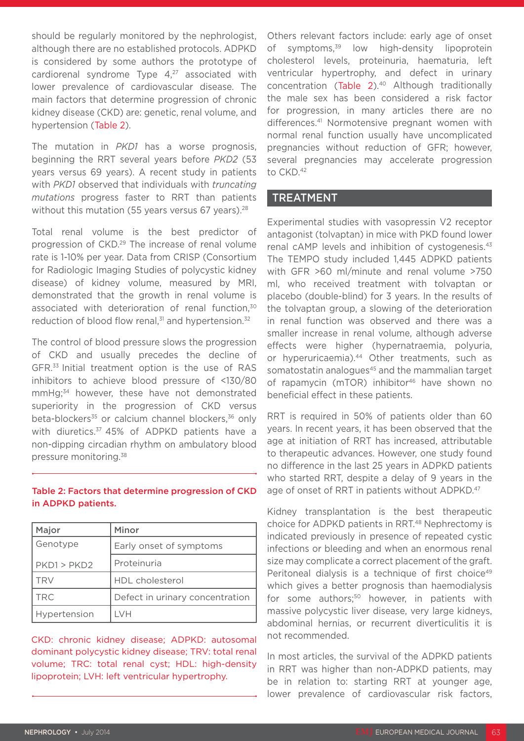should be regularly monitored by the nephrologist, although there are no established protocols. ADPKD is considered by some authors the prototype of cardiorenal syndrome Type  $4,27$  associated with lower prevalence of cardiovascular disease. The main factors that determine progression of chronic kidney disease (CKD) are: genetic, renal volume, and hypertension (Table 2).

The mutation in *PKD1* has a worse prognosis, beginning the RRT several years before *PKD2* (53 years versus 69 years). A recent study in patients with *PKD1* observed that individuals with *truncating mutations* progress faster to RRT than patients without this mutation (55 years versus 67 years).<sup>28</sup>

Total renal volume is the best predictor of progression of CKD.29 The increase of renal volume rate is 1-10% per year. Data from CRISP (Consortium for Radiologic Imaging Studies of polycystic kidney disease) of kidney volume, measured by MRI, demonstrated that the growth in renal volume is associated with deterioration of renal function,<sup>30</sup> reduction of blood flow renal.<sup>31</sup> and hypertension.<sup>32</sup>

The control of blood pressure slows the progression of CKD and usually precedes the decline of GFR.33 Initial treatment option is the use of RAS inhibitors to achieve blood pressure of <130/80 mmHg;34 however, these have not demonstrated superiority in the progression of CKD versus beta-blockers<sup>35</sup> or calcium channel blockers,<sup>36</sup> only with diuretics.<sup>37</sup> 45% of ADPKD patients have a non-dipping circadian rhythm on ambulatory blood pressure monitoring.38

#### Table 2: Factors that determine progression of CKD in ADPKD patients.

| Major        | Minor                           |
|--------------|---------------------------------|
| Genotype     | Early onset of symptoms         |
| PKD1 > PKD2  | Proteinuria                     |
| <b>TRV</b>   | HDL cholesterol                 |
| TRC          | Defect in urinary concentration |
| Hypertension | I VH                            |

CKD: chronic kidney disease; ADPKD: autosomal dominant polycystic kidney disease; TRV: total renal volume; TRC: total renal cyst; HDL: high-density lipoprotein; LVH: left ventricular hypertrophy.

Others relevant factors include: early age of onset of symptoms,<sup>39</sup> low high-density lipoprotein cholesterol levels, proteinuria, haematuria, left ventricular hypertrophy, and defect in urinary concentration (Table 2).<sup>40</sup> Although traditionally the male sex has been considered a risk factor for progression, in many articles there are no differences.<sup>41</sup> Normotensive pregnant women with normal renal function usually have uncomplicated pregnancies without reduction of GFR; however, several pregnancies may accelerate progression to CKD.<sup>42</sup>

#### TREATMENT

Experimental studies with vasopressin V2 receptor antagonist (tolvaptan) in mice with PKD found lower renal cAMP levels and inhibition of cystogenesis.<sup>43</sup> The TEMPO study included 1,445 ADPKD patients with GFR >60 ml/minute and renal volume >750 ml, who received treatment with tolvaptan or placebo (double-blind) for 3 years. In the results of the tolvaptan group, a slowing of the deterioration in renal function was observed and there was a smaller increase in renal volume, although adverse effects were higher (hypernatraemia, polyuria, or hyperuricaemia).<sup>44</sup> Other treatments, such as somatostatin analogues<sup>45</sup> and the mammalian target of rapamycin (mTOR) inhibitor<sup>46</sup> have shown no beneficial effect in these patients.

RRT is required in 50% of patients older than 60 years. In recent years, it has been observed that the age at initiation of RRT has increased, attributable to therapeutic advances. However, one study found no difference in the last 25 years in ADPKD patients who started RRT, despite a delay of 9 years in the age of onset of RRT in patients without ADPKD.<sup>47</sup>

Kidney transplantation is the best therapeutic choice for ADPKD patients in RRT.<sup>48</sup> Nephrectomy is indicated previously in presence of repeated cystic infections or bleeding and when an enormous renal size may complicate a correct placement of the graft. Peritoneal dialysis is a technique of first choice<sup>49</sup> which gives a better prognosis than haemodialysis for some authors;<sup>50</sup> however, in patients with massive polycystic liver disease, very large kidneys, abdominal hernias, or recurrent diverticulitis it is not recommended.

In most articles, the survival of the ADPKD patients in RRT was higher than non-ADPKD patients, may be in relation to: starting RRT at younger age, lower prevalence of cardiovascular risk factors,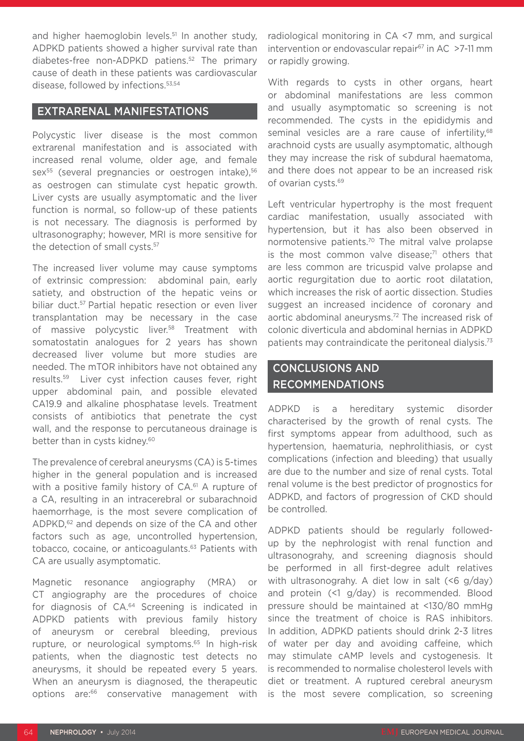and higher haemoglobin levels.<sup>51</sup> In another study, ADPKD patients showed a higher survival rate than diabetes-free non-ADPKD patiens.52 The primary cause of death in these patients was cardiovascular disease, followed by infections.53,54

### EXTRARENAL MANIFESTATIONS

Polycystic liver disease is the most common extrarenal manifestation and is associated with increased renal volume, older age, and female sex<sup>55</sup> (several pregnancies or oestrogen intake),<sup>56</sup> as oestrogen can stimulate cyst hepatic growth. Liver cysts are usually asymptomatic and the liver function is normal, so follow-up of these patients is not necessary. The diagnosis is performed by ultrasonography; however, MRI is more sensitive for the detection of small cysts.<sup>57</sup>

The increased liver volume may cause symptoms of extrinsic compression: abdominal pain, early satiety, and obstruction of the hepatic veins or biliar duct.57 Partial hepatic resection or even liver transplantation may be necessary in the case of massive polycystic liver.<sup>58</sup> Treatment with somatostatin analogues for 2 years has shown decreased liver volume but more studies are needed. The mTOR inhibitors have not obtained any results.59 Liver cyst infection causes fever, right upper abdominal pain, and possible elevated CA19.9 and alkaline phosphatase levels. Treatment consists of antibiotics that penetrate the cyst wall, and the response to percutaneous drainage is better than in cysts kidney.<sup>60</sup>

The prevalence of cerebral aneurysms (CA) is 5-times higher in the general population and is increased with a positive family history of CA.<sup>61</sup> A rupture of a CA, resulting in an intracerebral or subarachnoid haemorrhage, is the most severe complication of ADPKD,<sup>62</sup> and depends on size of the CA and other factors such as age, uncontrolled hypertension, tobacco, cocaine, or anticoagulants.<sup>63</sup> Patients with CA are usually asymptomatic.

Magnetic resonance angiography (MRA) or CT angiography are the procedures of choice for diagnosis of CA.64 Screening is indicated in ADPKD patients with previous family history of aneurysm or cerebral bleeding, previous rupture, or neurological symptoms.<sup>65</sup> In high-risk patients, when the diagnostic test detects no aneurysms, it should be repeated every 5 years. When an aneurysm is diagnosed, the therapeutic options are:66 conservative management with

radiological monitoring in CA <7 mm, and surgical intervention or endovascular repair $67$  in AC  $>7$ -11 mm or rapidly growing.

With regards to cysts in other organs, heart or abdominal manifestations are less common and usually asymptomatic so screening is not recommended. The cysts in the epididymis and seminal vesicles are a rare cause of infertility.<sup>68</sup> arachnoid cysts are usually asymptomatic, although they may increase the risk of subdural haematoma, and there does not appear to be an increased risk of ovarian cysts.69

Left ventricular hypertrophy is the most frequent cardiac manifestation, usually associated with hypertension, but it has also been observed in normotensive patients.<sup>70</sup> The mitral valve prolapse is the most common valve disease; $71$  others that are less common are tricuspid valve prolapse and aortic regurgitation due to aortic root dilatation, which increases the risk of aortic dissection. Studies suggest an increased incidence of coronary and aortic abdominal aneurysms.72 The increased risk of colonic diverticula and abdominal hernias in ADPKD patients may contraindicate the peritoneal dialysis.<sup>73</sup>

## CONCLUSIONS AND RECOMMENDATIONS

ADPKD is a hereditary systemic disorder characterised by the growth of renal cysts. The first symptoms appear from adulthood, such as hypertension, haematuria, nephrolithiasis, or cyst complications (infection and bleeding) that usually are due to the number and size of renal cysts. Total renal volume is the best predictor of prognostics for ADPKD, and factors of progression of CKD should be controlled.

ADPKD patients should be regularly followedup by the nephrologist with renal function and ultrasonograhy, and screening diagnosis should be performed in all first-degree adult relatives with ultrasonograhy. A diet low in salt (<6 g/day) and protein (<1 g/day) is recommended. Blood pressure should be maintained at <130/80 mmHg since the treatment of choice is RAS inhibitors. In addition, ADPKD patients should drink 2-3 litres of water per day and avoiding caffeine, which may stimulate cAMP levels and cystogenesis. It is recommended to normalise cholesterol levels with diet or treatment. A ruptured cerebral aneurysm is the most severe complication, so screening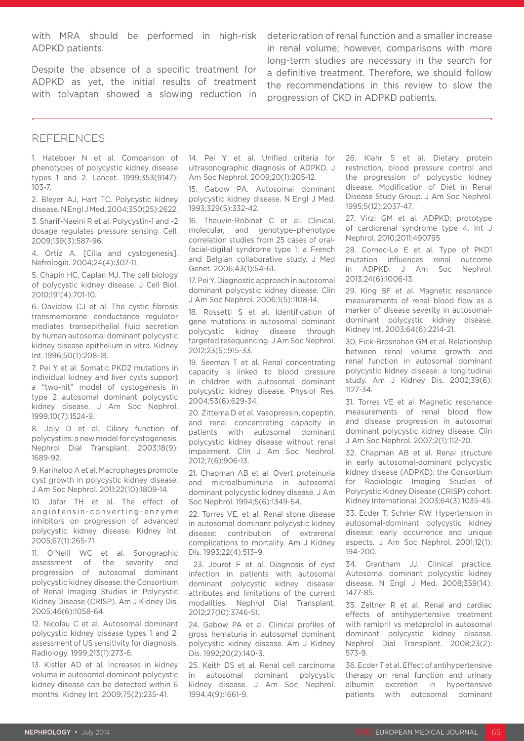with MRA should be performed in high-risk ADPKD patients.

Despite the absence of a specific treatment for ADPKD as yet, the initial results of treatment with tolvaptan showed a slowing reduction in

deterioration of renal function and a smaller increase in renal volume; however, comparisons with more long-term studies are necessary in the search for a definitive treatment. Therefore, we should follow the recommendations in this review to slow the progression of CKD in ADPKD patients.

#### REFERENCES

1. Hateboer N et al. Comparison of phenotypes of polycystic kidney disease types 1 and 2. Lancet. 1999;353(9147): 103-7.

2. Bleyer AJ, Hart TC. Polycystic kidney disease. N Engl J Med. 2004;350(25):2622.

3. Sharif-Naeini R et al. Polycystin-1 and -2 dosage regulates pressure sensing. Cell. 2009;139(3):587-96.

4. Ortiz A. [Cilia and cystogenesis]. Nefrología. 2004;24(4):307-11.

5. Chapin HC, Caplan MJ. The cell biology of polycystic kidney disease. J Cell Biol. 2010;191(4):701-10.

6. Davidow CJ et al. The cystic fibrosis transmembrane conductance regulator mediates transepithelial fluid secretion by human autosomal dominant polycystic kidney disease epithelium in vitro. Kidney Int. 1996;50(1):208-18.

7. Pei Y et al. Somatic PKD2 mutations in individual kidney and liver cysts support a "two-hit" model of cystogenesis in type 2 autosomal dominant polycystic kidney disease. J Am Soc Nephrol. 1999;10(7):1524-9.

8. Joly D et al. Ciliary function of polycystins: a new model for cystogenesis. Nephrol Dial Transplant. 2003;18(9): 1689-92.

9. Karihaloo A et al. Macrophages promote cyst growth in polycystic kidney disease. J Am Soc Nephrol. 2011;22(10):1809-14.

10. Jafar TH et al. The effect of angiotensin-converting-enzyme inhibitors on progression of advanced polycystic kidney disease. Kidney Int. 2005;67(1):265-71.

11. O'Neill WC et al. Sonographic assessment of the severity and progression of autosomal dominant polycystic kidney disease: the Consortium of Renal Imaging Studies in Polycystic Kidney Disease (CRISP). Am J Kidney Dis. 2005;46(6):1058-64.

12. Nicolau C et al. Autosomal dominant polycystic kidney disease types 1 and 2: assessment of US sensitivity for diagnosis. Radiology. 1999;213(1):273-6.

13. Kistler AD et al. Increases in kidney volume in autosomal dominant polycystic kidney disease can be detected within 6 months. Kidney Int. 2009;75(2):235-41.

14. Pei Y et al. Unified criteria for ultrasonographic diagnosis of ADPKD. J Am Soc Nephrol. 2009;20(1):205-12.

15. Gabow PA. Autosomal dominant polycystic kidney disease. N Engl J Med. 1993;329(5):332-42.

16. Thauvin-Robinet C et al. Clinical, molecular, and genotype–phenotype correlation studies from 25 cases of oralfacial-digital syndrome type 1: a French and Belgian collaborative study. J Med Genet. 2006;43(1):54-61.

17. Pei Y. Diagnostic approach in autosomal dominant polycystic kidney disease. Clin J Am Soc Nephrol. 2006;1(5):1108-14.

18. Rossetti S et al. Identification of gene mutations in autosomal dominant polycystic kidney disease through targeted resequencing. J Am Soc Nephrol. 2012;23(5):915-33.

19. Seeman T et al. Renal concentrating capacity is linked to blood pressure in children with autosomal dominant polycystic kidney disease. Physiol Res. 2004;53(6):629-34.

20. Zittema D et al. Vasopressin, copeptin, and renal concentrating capacity in patients with autosomal dominant polycystic kidney disease without renal impairment. Clin J Am Soc Nephrol. 2012;7(6):906-13.

21. Chapman AB et al. Overt proteinuria and microalbuminuria in autosomal dominant polycystic kidney disease. J Am Soc Nephrol. 1994;5(6):1349-54.

22. Torres VE, et al. Renal stone disease in autosomal dominant polycystic kidney disease: contribution of extrarenal complications to mortality. Am J Kidney Dis. 1993;22(4):513–9.

 23. Jouret F et al. Diagnosis of cyst infection in patients with autosomal dominant polycystic kidney disease: attributes and limitations of the current modalities. Nephrol Dial Transplant. 2012;27(10):3746-51.

24. Gabow PA et al. Clinical profiles of gross hematuria in autosomal dominant polycystic kidney disease. Am J Kidney Dis. 1992;20(2):140-3.

25. Keith DS et al. Renal cell carcinoma in autosomal dominant polycystic kidney disease. J Am Soc Nephrol. 1994;4(9):1661-9.

26. Klahr S et al. Dietary protein restriction, blood pressure control and the progression of polycystic kidney disease. Modification of Diet in Renal Disease Study Group. J Am Soc Nephrol. 1995;5(12):2037-47.

27. Virzi GM et al. ADPKD: prototype of cardiorenal syndrome type 4. Int J Nephrol. 2010;2011:490795

28. Cornec-Le E et al. Type of PKD1 mutation influences renal outcome in ADPKD. J Am Soc Nephrol. 2013;24(6):1006-13.

29. King BF et al. Magnetic resonance measurements of renal blood flow as a marker of disease severity in autosomaldominant polycystic kidney disease. Kidney Int. 2003;64(6):2214-21.

30. Fick-Brosnahan GM et al. Relationship between renal volume growth and renal function in autosomal dominant polycystic kidney disease: a longitudinal study. Am J Kidney Dis. 2002;39(6): 1127-34.

31. Torres VE et al. Magnetic resonance measurements of renal blood flow and disease progression in autosomal dominant polycystic kidney disease. Clin J Am Soc Nephrol. 2007;2(1):112-20.

32. Chapman AB et al. Renal structure in early autosomal-dominant polycystic kidney disease (ADPKD): the Consortium for Radiologic Imaging Studies of Polycystic Kidney Disease (CRISP) cohort. Kidney International. 2003;64(3):1035-45.

33. Ecder T, Schrier RW. Hypertension in autosomal-dominant polycystic kidney disease: early occurrence and unique aspects. J Am Soc Nephrol. 2001;12(1): 194-200.

34. Grantham JJ. Clinical practice. Autosomal dominant polycystic kidney disease. N Engl J Med. 2008;359(14): 1477-85.

35. Zeltner R et al. Renal and cardiac effects of antihypertensive treatment with ramipril vs metoprolol in autosomal dominant polycystic kidney disease. Nephrol Dial Transplant. 2008;23(2): 573-9.

36. Ecder T et al. Effect of antihypertensive therapy on renal function and urinary albumin excretion in hypertensive patients with autosomal dominant